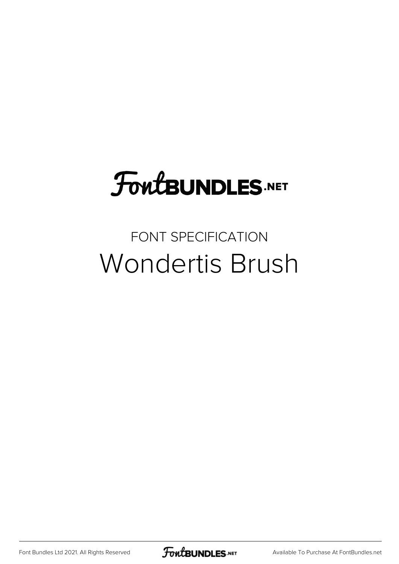## FoutBUNDLES.NET

## FONT SPECIFICATION Wondertis Brush

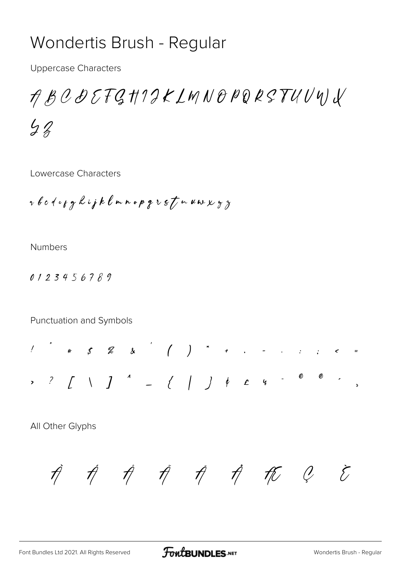## Wondertis Brush - Regular

**Uppercase Characters** 

ABCDEFGHIIKLMNOPQRSTUVYJV  $42$ 

Lowercase Characters

r b c d e y g h i j k l m n o p g r s t n u w x y z

**Numbers** 

0123456789

Punctuation and Symbols

 $1$  , and the set of  $1$  , and  $1$  , and  $1$  , and  $1$  , and  $1$  , and  $1$  , and  $1$  , and  $1$  , and  $1$  , and  $1$  , and  $1$  , and  $1$  , and  $1$  , and  $1$  , and  $1$  , and  $1$  , and  $1$  , and  $1$  , and  $1$  , and  $1$  , and 

All Other Glyphs

 $\vec{\eta}$   $\vec{\eta}$   $\vec{\eta}$   $\vec{\eta}$   $\vec{\eta}$   $\vec{\eta}$   $\vec{\eta}$   $\vec{\eta}$   $\vec{\ell}$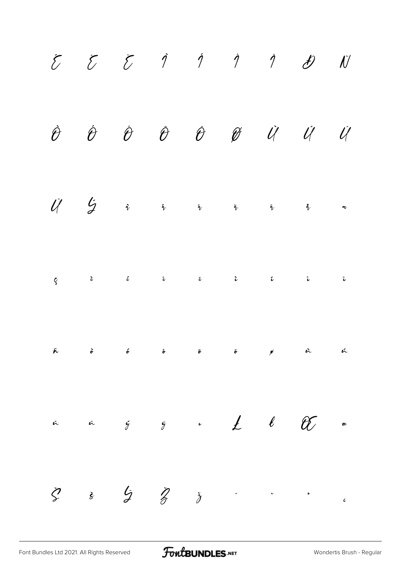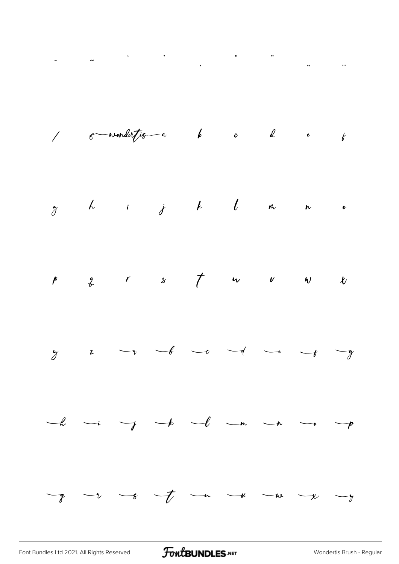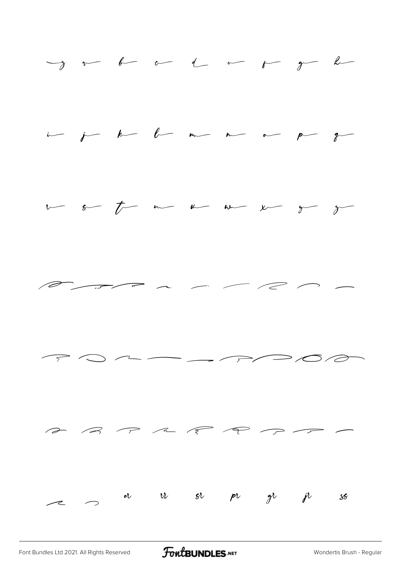